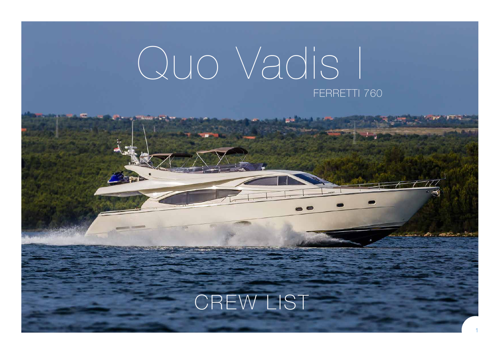## Quo Vadis I FERRETTI 760